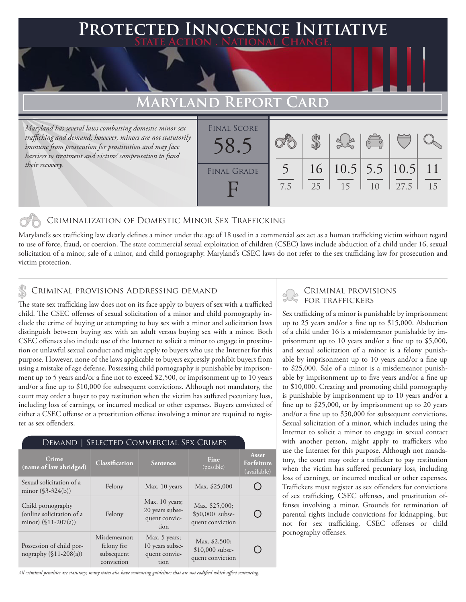### **PTED INNOCENCE INITIATIVE State Action . National Change.**

## **Maryland Report Card**

*Maryland has several laws combatting domestic minor sex trafficking and demand; however, minors are not statutorily immune from prosecution for prostitution and may face barriers to treatment and victims' compensation to fund their recovery.*

| <b>FINAL SCORE</b> |     |    |                  |                                                |      |                 |
|--------------------|-----|----|------------------|------------------------------------------------|------|-----------------|
|                    |     |    |                  | $\begin{pmatrix} 0 & 0 \\ 0 & 0 \end{pmatrix}$ |      |                 |
|                    |     |    |                  |                                                |      |                 |
| <b>FINAL GRADE</b> |     |    | 16 10.5 5.5 10.5 |                                                |      | $\overline{11}$ |
|                    | 7.5 | 25 | 15               |                                                | 27.5 | 15              |
|                    |     |    |                  |                                                |      |                 |

#### Criminalization of Domestic Minor Sex Trafficking

Maryland's sex trafficking law clearly defines a minor under the age of 18 used in a commercial sex act as a human trafficking victim without regard to use of force, fraud, or coercion. The state commercial sexual exploitation of children (CSEC) laws include abduction of a child under 16, sexual solicitation of a minor, sale of a minor, and child pornography. Maryland's CSEC laws do not refer to the sex trafficking law for prosecution and victim protection.

#### CRIMINAL PROVISIONS ADDRESSING DEMAND

The state sex trafficking law does not on its face apply to buyers of sex with a trafficked child. The CSEC offenses of sexual solicitation of a minor and child pornography include the crime of buying or attempting to buy sex with a minor and solicitation laws distinguish between buying sex with an adult versus buying sex with a minor. Both CSEC offenses also include use of the Internet to solicit a minor to engage in prostitution or unlawful sexual conduct and might apply to buyers who use the Internet for this purpose. However, none of the laws applicable to buyers expressly prohibit buyers from using a mistake of age defense. Possessing child pornography is punishable by imprisonment up to 5 years and/or a fine not to exceed \$2,500, or imprisonment up to 10 years and/or a fine up to \$10,000 for subsequent convictions. Although not mandatory, the court may order a buyer to pay restitution when the victim has suffered pecuniary loss, including loss of earnings, or incurred medical or other expenses. Buyers convicted of either a CSEC offense or a prostitution offense involving a minor are required to register as sex offenders.

#### Demand | Selected Commercial Sex Crimes

| Crime<br>(name of law abridged)                                          | <b>Classification</b>                                  | <b>Sentence</b>                                            | Fine<br>(possible)                                    | <b>Asset</b><br>Forfeiture<br>(available) |
|--------------------------------------------------------------------------|--------------------------------------------------------|------------------------------------------------------------|-------------------------------------------------------|-------------------------------------------|
| Sexual solicitation of a<br>minor $(\$3-324(b))$                         | Felony                                                 | Max. 10 years                                              | Max. \$25,000                                         |                                           |
| Child pornography<br>(online solicitation of a<br>minor) $(\$11-207(a))$ | Felony                                                 | Max. 10 years;<br>20 years subse-<br>quent convic-<br>tion | Max. \$25,000;<br>\$50,000 subse-<br>quent conviction |                                           |
| Possession of child por-<br>nography $(\$11-208(a))$                     | Misdemeanor;<br>felony for<br>subsequent<br>conviction | Max. 5 years;<br>10 years subse-<br>quent convic-<br>tion  | Max. \$2,500;<br>$$10,000$ subse-<br>quent conviction |                                           |

*All criminal penalties are statutory; many states also have sentencing guidelines that are not codified which affect sentencing.* 

# Criminal provisions

Sex trafficking of a minor is punishable by imprisonment up to 25 years and/or a fine up to \$15,000. Abduction of a child under 16 is a misdemeanor punishable by imprisonment up to 10 years and/or a fine up to \$5,000, and sexual solicitation of a minor is a felony punishable by imprisonment up to 10 years and/or a fine up to \$25,000. Sale of a minor is a misdemeanor punishable by imprisonment up to five years and/or a fine up to \$10,000. Creating and promoting child pornography is punishable by imprisonment up to 10 years and/or a fine up to \$25,000, or by imprisonment up to 20 years and/or a fine up to \$50,000 for subsequent convictions. Sexual solicitation of a minor, which includes using the Internet to solicit a minor to engage in sexual contact with another person, might apply to traffickers who use the Internet for this purpose. Although not mandatory, the court may order a trafficker to pay restitution when the victim has suffered pecuniary loss, including loss of earnings, or incurred medical or other expenses. Traffickers must register as sex offenders for convictions of sex trafficking, CSEC offenses, and prostitution offenses involving a minor. Grounds for termination of parental rights include convictions for kidnapping, but not for sex trafficking, CSEC offenses or child pornography offenses.